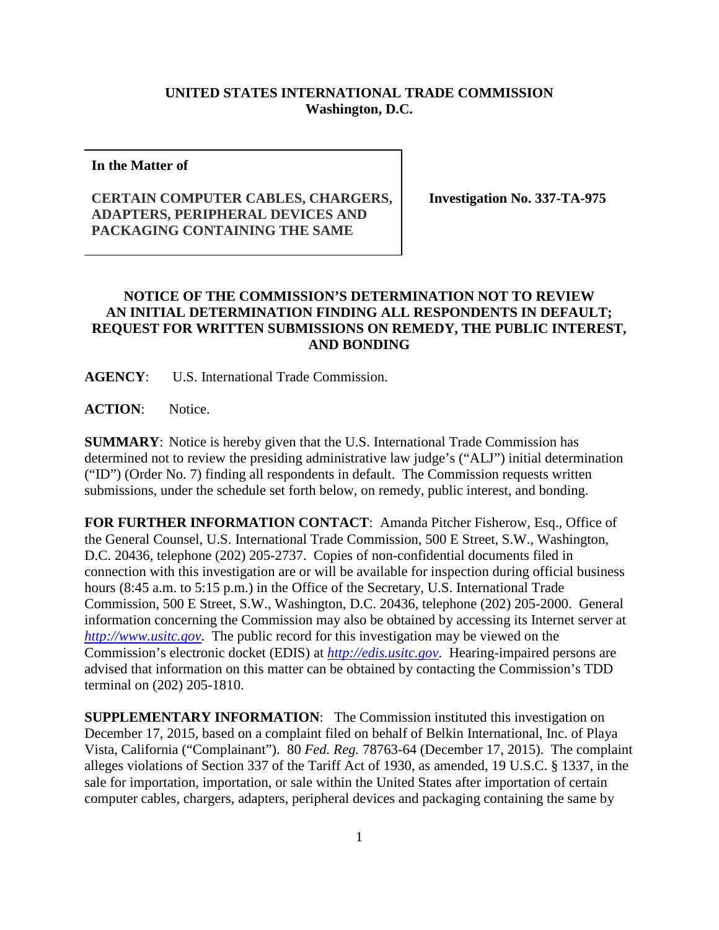## **UNITED STATES INTERNATIONAL TRADE COMMISSION Washington, D.C.**

**In the Matter of**

## **CERTAIN COMPUTER CABLES, CHARGERS, ADAPTERS, PERIPHERAL DEVICES AND PACKAGING CONTAINING THE SAME**

**Investigation No. 337-TA-975**

## **NOTICE OF THE COMMISSION'S DETERMINATION NOT TO REVIEW AN INITIAL DETERMINATION FINDING ALL RESPONDENTS IN DEFAULT; REQUEST FOR WRITTEN SUBMISSIONS ON REMEDY, THE PUBLIC INTEREST, AND BONDING**

**AGENCY**: U.S. International Trade Commission.

**ACTION**: Notice.

**SUMMARY**: Notice is hereby given that the U.S. International Trade Commission has determined not to review the presiding administrative law judge's ("ALJ") initial determination ("ID") (Order No. 7) finding all respondents in default. The Commission requests written submissions, under the schedule set forth below, on remedy, public interest, and bonding.

**FOR FURTHER INFORMATION CONTACT**: Amanda Pitcher Fisherow, Esq., Office of the General Counsel, U.S. International Trade Commission, 500 E Street, S.W., Washington, D.C. 20436, telephone (202) 205-2737. Copies of non-confidential documents filed in connection with this investigation are or will be available for inspection during official business hours (8:45 a.m. to 5:15 p.m.) in the Office of the Secretary, U.S. International Trade Commission, 500 E Street, S.W., Washington, D.C. 20436, telephone (202) 205-2000. General information concerning the Commission may also be obtained by accessing its Internet server at *[http://www.usitc.gov](http://www.usitc.gov/)*. The public record for this investigation may be viewed on the Commission's electronic docket (EDIS) at *[http://edis.usitc.gov](http://edis.usitc.gov/)*. Hearing-impaired persons are advised that information on this matter can be obtained by contacting the Commission's TDD terminal on (202) 205-1810.

**SUPPLEMENTARY INFORMATION:** The Commission instituted this investigation on December 17, 2015, based on a complaint filed on behalf of Belkin International, Inc. of Playa Vista, California ("Complainant"). 80 *Fed. Reg.* 78763-64 (December 17, 2015). The complaint alleges violations of Section 337 of the Tariff Act of 1930, as amended, 19 U.S.C. § 1337, in the sale for importation, importation, or sale within the United States after importation of certain computer cables, chargers, adapters, peripheral devices and packaging containing the same by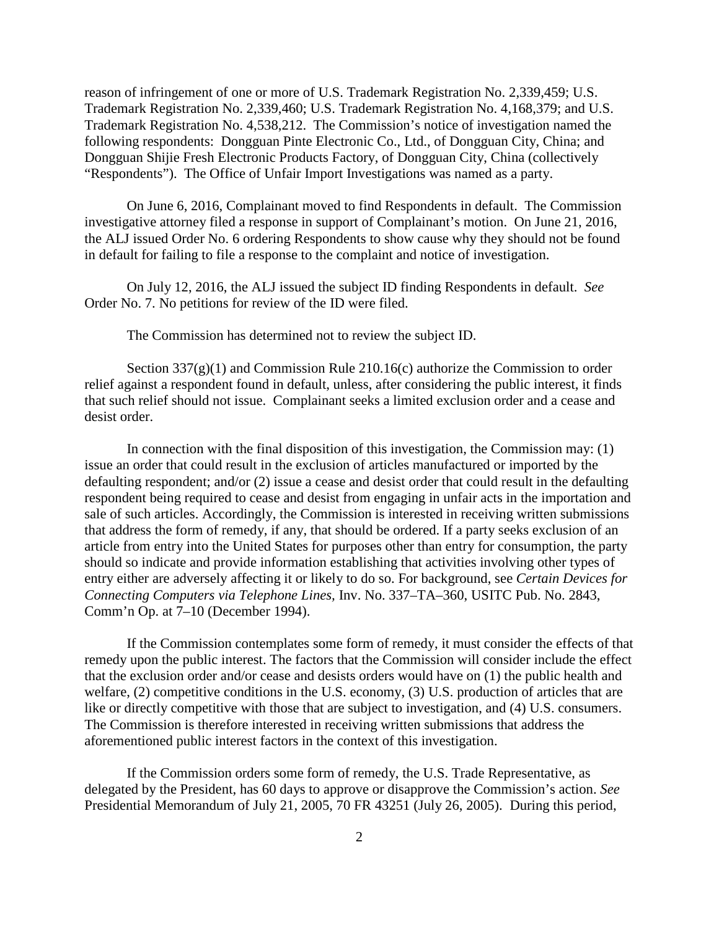reason of infringement of one or more of U.S. Trademark Registration No. 2,339,459; U.S. Trademark Registration No. 2,339,460; U.S. Trademark Registration No. 4,168,379; and U.S. Trademark Registration No. 4,538,212. The Commission's notice of investigation named the following respondents: Dongguan Pinte Electronic Co., Ltd., of Dongguan City, China; and Dongguan Shijie Fresh Electronic Products Factory, of Dongguan City, China (collectively "Respondents"). The Office of Unfair Import Investigations was named as a party.

On June 6, 2016, Complainant moved to find Respondents in default. The Commission investigative attorney filed a response in support of Complainant's motion. On June 21, 2016, the ALJ issued Order No. 6 ordering Respondents to show cause why they should not be found in default for failing to file a response to the complaint and notice of investigation.

On July 12, 2016, the ALJ issued the subject ID finding Respondents in default. *See* Order No. 7. No petitions for review of the ID were filed.

The Commission has determined not to review the subject ID.

Section  $337(g)(1)$  and Commission Rule 210.16(c) authorize the Commission to order relief against a respondent found in default, unless, after considering the public interest, it finds that such relief should not issue. Complainant seeks a limited exclusion order and a cease and desist order.

In connection with the final disposition of this investigation, the Commission may: (1) issue an order that could result in the exclusion of articles manufactured or imported by the defaulting respondent; and/or (2) issue a cease and desist order that could result in the defaulting respondent being required to cease and desist from engaging in unfair acts in the importation and sale of such articles. Accordingly, the Commission is interested in receiving written submissions that address the form of remedy, if any, that should be ordered. If a party seeks exclusion of an article from entry into the United States for purposes other than entry for consumption, the party should so indicate and provide information establishing that activities involving other types of entry either are adversely affecting it or likely to do so. For background, see *Certain Devices for Connecting Computers via Telephone Lines,* Inv. No. 337–TA–360, USITC Pub. No. 2843, Comm'n Op. at 7–10 (December 1994).

If the Commission contemplates some form of remedy, it must consider the effects of that remedy upon the public interest. The factors that the Commission will consider include the effect that the exclusion order and/or cease and desists orders would have on (1) the public health and welfare, (2) competitive conditions in the U.S. economy, (3) U.S. production of articles that are like or directly competitive with those that are subject to investigation, and (4) U.S. consumers. The Commission is therefore interested in receiving written submissions that address the aforementioned public interest factors in the context of this investigation.

If the Commission orders some form of remedy, the U.S. Trade Representative, as delegated by the President, has 60 days to approve or disapprove the Commission's action. *See*  Presidential Memorandum of July 21, 2005, 70 FR 43251 (July 26, 2005). During this period,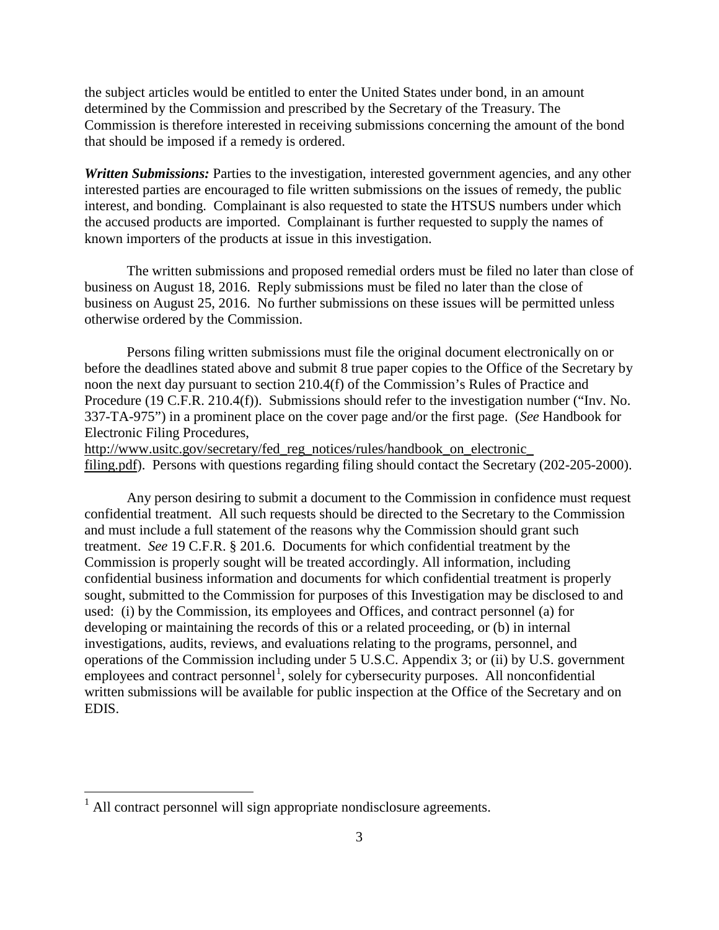the subject articles would be entitled to enter the United States under bond, in an amount determined by the Commission and prescribed by the Secretary of the Treasury. The Commission is therefore interested in receiving submissions concerning the amount of the bond that should be imposed if a remedy is ordered.

*Written Submissions:* Parties to the investigation, interested government agencies, and any other interested parties are encouraged to file written submissions on the issues of remedy, the public interest, and bonding. Complainant is also requested to state the HTSUS numbers under which the accused products are imported. Complainant is further requested to supply the names of known importers of the products at issue in this investigation.

The written submissions and proposed remedial orders must be filed no later than close of business on August 18, 2016. Reply submissions must be filed no later than the close of business on August 25, 2016. No further submissions on these issues will be permitted unless otherwise ordered by the Commission.

Persons filing written submissions must file the original document electronically on or before the deadlines stated above and submit 8 true paper copies to the Office of the Secretary by noon the next day pursuant to section 210.4(f) of the Commission's Rules of Practice and Procedure (19 C.F.R. 210.4(f)). Submissions should refer to the investigation number ("Inv. No. 337-TA-975") in a prominent place on the cover page and/or the first page. (*See* Handbook for Electronic Filing Procedures,

http://www.usitc.gov/secretary/fed\_reg\_notices/rules/handbook\_on\_electronic\_ filing.pdf). Persons with questions regarding filing should contact the Secretary (202-205-2000).

Any person desiring to submit a document to the Commission in confidence must request confidential treatment. All such requests should be directed to the Secretary to the Commission and must include a full statement of the reasons why the Commission should grant such treatment. *See* 19 C.F.R. § 201.6. Documents for which confidential treatment by the Commission is properly sought will be treated accordingly. All information, including confidential business information and documents for which confidential treatment is properly sought, submitted to the Commission for purposes of this Investigation may be disclosed to and used: (i) by the Commission, its employees and Offices, and contract personnel (a) for developing or maintaining the records of this or a related proceeding, or (b) in internal investigations, audits, reviews, and evaluations relating to the programs, personnel, and operations of the Commission including under 5 U.S.C. Appendix 3; or (ii) by U.S. government employees and contract personnel<sup>[1](#page-2-0)</sup>, solely for cybersecurity purposes. All nonconfidential written submissions will be available for public inspection at the Office of the Secretary and on [EDIS.](http://edis.usitc.gov/)

<span id="page-2-0"></span> $<sup>1</sup>$  All contract personnel will sign appropriate nondisclosure agreements.</sup>